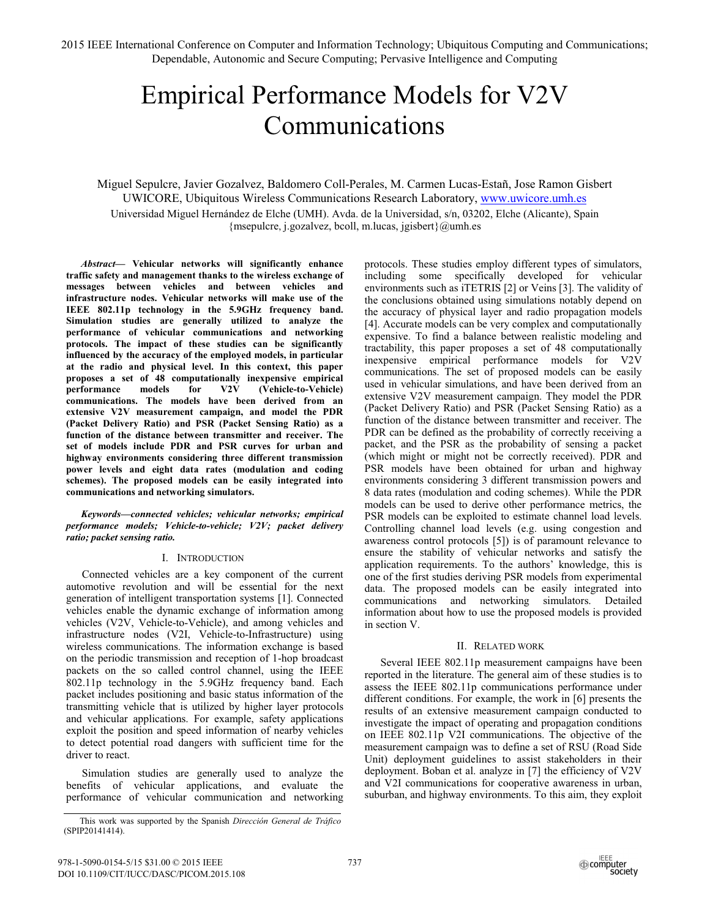# Empirical Performance Models for V2V Communications

Miguel Sepulcre, Javier Gozalvez, Baldomero Coll-Perales, M. Carmen Lucas-Estañ, Jose Ramon Gisbert UWICORE, Ubiquitous Wireless Communications Research Laboratory, www.uwicore.umh.es Universidad Miguel Hernández de Elche (UMH). Avda. de la Universidad, s/n, 03202, Elche (Alicante), Spain {msepulcre, j.gozalvez, bcoll, m.lucas, jgisbert}@umh.es

*Abstract***— Vehicular networks will significantly enhance traffic safety and management thanks to the wireless exchange of messages between vehicles and between vehicles and infrastructure nodes. Vehicular networks will make use of the IEEE 802.11p technology in the 5.9GHz frequency band. Simulation studies are generally utilized to analyze the performance of vehicular communications and networking protocols. The impact of these studies can be significantly influenced by the accuracy of the employed models, in particular at the radio and physical level. In this context, this paper proposes a set of 48 computationally inexpensive empirical performance models for V2V (Vehicle-to-Vehicle) communications. The models have been derived from an extensive V2V measurement campaign, and model the PDR (Packet Delivery Ratio) and PSR (Packet Sensing Ratio) as a function of the distance between transmitter and receiver. The set of models include PDR and PSR curves for urban and highway environments considering three different transmission power levels and eight data rates (modulation and coding schemes). The proposed models can be easily integrated into communications and networking simulators.**

*Keywords—connected vehicles; vehicular networks; empirical performance models; Vehicle-to-vehicle; V2V; packet delivery ratio; packet sensing ratio.* 

# I. INTRODUCTION

Connected vehicles are a key component of the current automotive revolution and will be essential for the next generation of intelligent transportation systems [1]. Connected vehicles enable the dynamic exchange of information among vehicles (V2V, Vehicle-to-Vehicle), and among vehicles and infrastructure nodes (V2I, Vehicle-to-Infrastructure) using wireless communications. The information exchange is based on the periodic transmission and reception of 1-hop broadcast packets on the so called control channel, using the IEEE 802.11p technology in the 5.9GHz frequency band. Each packet includes positioning and basic status information of the transmitting vehicle that is utilized by higher layer protocols and vehicular applications. For example, safety applications exploit the position and speed information of nearby vehicles to detect potential road dangers with sufficient time for the driver to react.

Simulation studies are generally used to analyze the benefits of vehicular applications, and evaluate the performance of vehicular communication and networking protocols. These studies employ different types of simulators, including some specifically developed for vehicular environments such as iTETRIS [2] or Veins [3]. The validity of the conclusions obtained using simulations notably depend on the accuracy of physical layer and radio propagation models [4]. Accurate models can be very complex and computationally expensive. To find a balance between realistic modeling and tractability, this paper proposes a set of 48 computationally inexpensive empirical performance models for V2V communications. The set of proposed models can be easily used in vehicular simulations, and have been derived from an extensive V2V measurement campaign. They model the PDR (Packet Delivery Ratio) and PSR (Packet Sensing Ratio) as a function of the distance between transmitter and receiver. The PDR can be defined as the probability of correctly receiving a packet, and the PSR as the probability of sensing a packet (which might or might not be correctly received). PDR and PSR models have been obtained for urban and highway environments considering 3 different transmission powers and 8 data rates (modulation and coding schemes). While the PDR models can be used to derive other performance metrics, the PSR models can be exploited to estimate channel load levels. Controlling channel load levels (e.g. using congestion and awareness control protocols [5]) is of paramount relevance to ensure the stability of vehicular networks and satisfy the application requirements. To the authors' knowledge, this is one of the first studies deriving PSR models from experimental data. The proposed models can be easily integrated into communications and networking simulators. Detailed information about how to use the proposed models is provided in section V.

# II. RELATED WORK

Several IEEE 802.11p measurement campaigns have been reported in the literature. The general aim of these studies is to assess the IEEE 802.11p communications performance under different conditions. For example, the work in [6] presents the results of an extensive measurement campaign conducted to investigate the impact of operating and propagation conditions on IEEE 802.11p V2I communications. The objective of the measurement campaign was to define a set of RSU (Road Side Unit) deployment guidelines to assist stakeholders in their deployment. Boban et al. analyze in [7] the efficiency of V2V and V2I communications for cooperative awareness in urban, suburban, and highway environments. To this aim, they exploit

This work was supported by the Spanish *Dirección General de Tráfico* (SPIP20141414).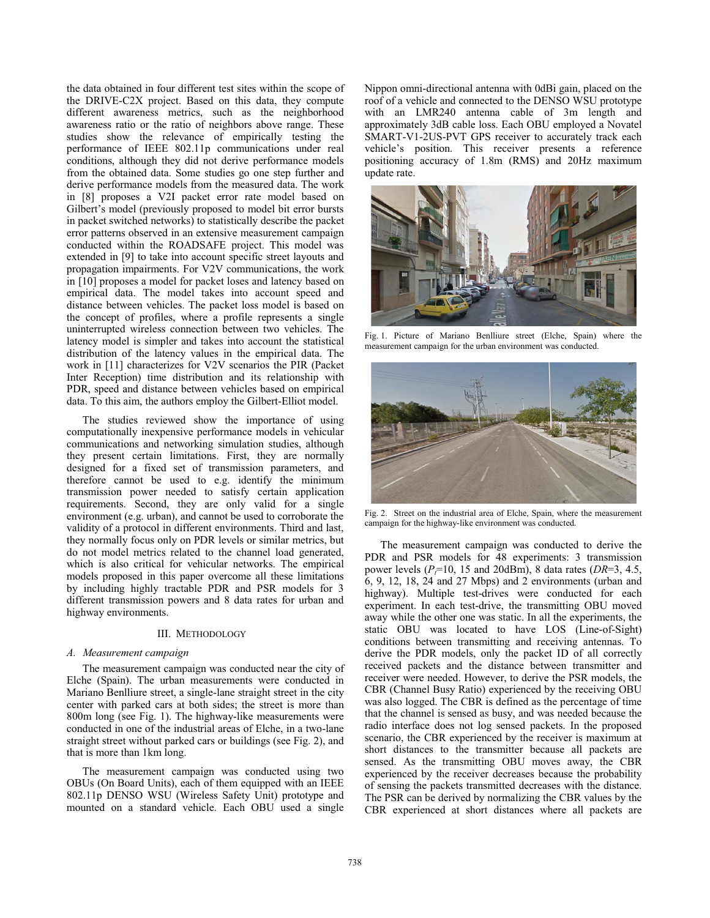the data obtained in four different test sites within the scope of the DRIVE-C2X project. Based on this data, they compute different awareness metrics, such as the neighborhood awareness ratio or the ratio of neighbors above range. These studies show the relevance of empirically testing the performance of IEEE 802.11p communications under real conditions, although they did not derive performance models from the obtained data. Some studies go one step further and derive performance models from the measured data. The work in [8] proposes a V2I packet error rate model based on Gilbert's model (previously proposed to model bit error bursts in packet switched networks) to statistically describe the packet error patterns observed in an extensive measurement campaign conducted within the ROADSAFE project. This model was extended in [9] to take into account specific street layouts and propagation impairments. For V2V communications, the work in [10] proposes a model for packet loses and latency based on empirical data. The model takes into account speed and distance between vehicles. The packet loss model is based on the concept of profiles, where a profile represents a single uninterrupted wireless connection between two vehicles. The latency model is simpler and takes into account the statistical distribution of the latency values in the empirical data. The work in [11] characterizes for V2V scenarios the PIR (Packet Inter Reception) time distribution and its relationship with PDR, speed and distance between vehicles based on empirical data. To this aim, the authors employ the Gilbert-Elliot model.

The studies reviewed show the importance of using computationally inexpensive performance models in vehicular communications and networking simulation studies, although they present certain limitations. First, they are normally designed for a fixed set of transmission parameters, and therefore cannot be used to e.g. identify the minimum transmission power needed to satisfy certain application requirements. Second, they are only valid for a single environment (e.g. urban), and cannot be used to corroborate the validity of a protocol in different environments. Third and last, they normally focus only on PDR levels or similar metrics, but do not model metrics related to the channel load generated, which is also critical for vehicular networks. The empirical models proposed in this paper overcome all these limitations by including highly tractable PDR and PSR models for 3 different transmission powers and 8 data rates for urban and highway environments.

# III. METHODOLOGY

#### *A. Measurement campaign*

The measurement campaign was conducted near the city of Elche (Spain). The urban measurements were conducted in Mariano Benlliure street, a single-lane straight street in the city center with parked cars at both sides; the street is more than 800m long (see Fig. 1). The highway-like measurements were conducted in one of the industrial areas of Elche, in a two-lane straight street without parked cars or buildings (see Fig. 2), and that is more than 1km long.

The measurement campaign was conducted using two OBUs (On Board Units), each of them equipped with an IEEE 802.11p DENSO WSU (Wireless Safety Unit) prototype and mounted on a standard vehicle. Each OBU used a single Nippon omni-directional antenna with 0dBi gain, placed on the roof of a vehicle and connected to the DENSO WSU prototype with an LMR240 antenna cable of 3m length and approximately 3dB cable loss. Each OBU employed a Novatel SMART-V1-2US-PVT GPS receiver to accurately track each vehicle's position. This receiver presents a reference positioning accuracy of 1.8m (RMS) and 20Hz maximum update rate.



Fig. 1. Picture of Mariano Benlliure street (Elche, Spain) where the measurement campaign for the urban environment was conducted.



Fig. 2. Street on the industrial area of Elche, Spain, where the measurement campaign for the highway-like environment was conducted.

The measurement campaign was conducted to derive the PDR and PSR models for 48 experiments: 3 transmission power levels ( $P_7$ =10, 15 and 20dBm), 8 data rates ( $DR=3, 4.5,$ 6, 9, 12, 18, 24 and 27 Mbps) and 2 environments (urban and highway). Multiple test-drives were conducted for each experiment. In each test-drive, the transmitting OBU moved away while the other one was static. In all the experiments, the static OBU was located to have LOS (Line-of-Sight) conditions between transmitting and receiving antennas. To derive the PDR models, only the packet ID of all correctly received packets and the distance between transmitter and receiver were needed. However, to derive the PSR models, the CBR (Channel Busy Ratio) experienced by the receiving OBU was also logged. The CBR is defined as the percentage of time that the channel is sensed as busy, and was needed because the radio interface does not log sensed packets. In the proposed scenario, the CBR experienced by the receiver is maximum at short distances to the transmitter because all packets are sensed. As the transmitting OBU moves away, the CBR experienced by the receiver decreases because the probability of sensing the packets transmitted decreases with the distance. The PSR can be derived by normalizing the CBR values by the CBR experienced at short distances where all packets are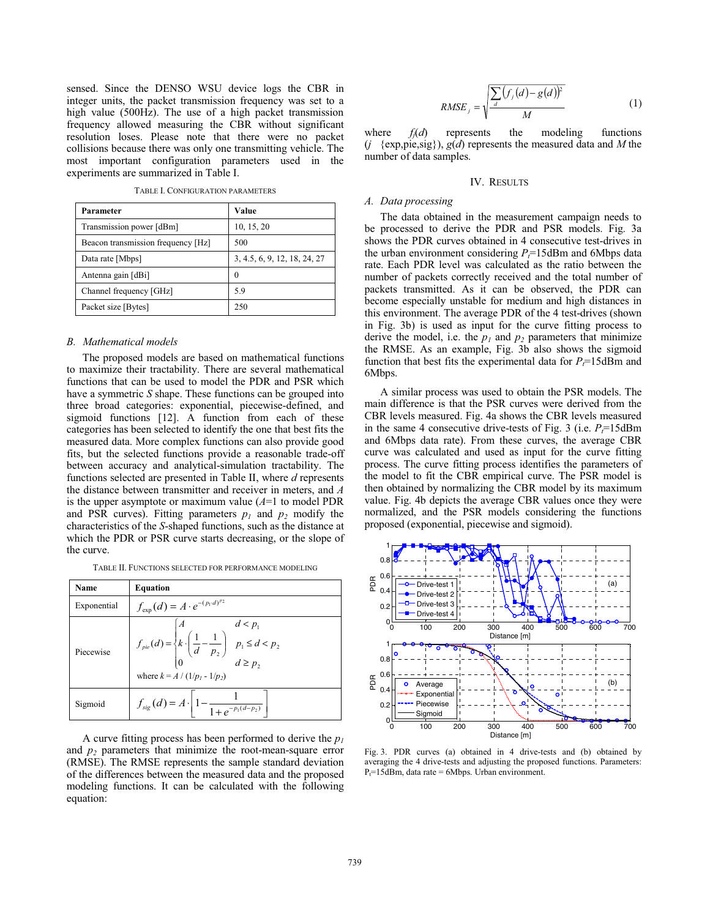sensed. Since the DENSO WSU device logs the CBR in integer units, the packet transmission frequency was set to a high value (500Hz). The use of a high packet transmission frequency allowed measuring the CBR without significant resolution loses. Please note that there were no packet collisions because there was only one transmitting vehicle. The most important configuration parameters used in the experiments are summarized in Table I.

| Parameter                          | Value                        |
|------------------------------------|------------------------------|
| Transmission power [dBm]           | 10, 15, 20                   |
| Beacon transmission frequency [Hz] | 500                          |
| Data rate [Mbps]                   | 3, 4.5, 6, 9, 12, 18, 24, 27 |
| Antenna gain [dBi]                 | 0                            |
| Channel frequency [GHz]            | 5.9                          |
| Packet size [Bytes]                | 250                          |

#### *B. Mathematical models*

The proposed models are based on mathematical functions to maximize their tractability. There are several mathematical functions that can be used to model the PDR and PSR which have a symmetric *S* shape. These functions can be grouped into three broad categories: exponential, piecewise-defined, and sigmoid functions [12]. A function from each of these categories has been selected to identify the one that best fits the measured data. More complex functions can also provide good fits, but the selected functions provide a reasonable trade-off between accuracy and analytical-simulation tractability. The functions selected are presented in Table II, where *d* represents the distance between transmitter and receiver in meters, and *A* is the upper asymptote or maximum value  $(A=1)$  to model PDR and PSR curves). Fitting parameters  $p_1$  and  $p_2$  modify the characteristics of the *S*-shaped functions, such as the distance at which the PDR or PSR curve starts decreasing, or the slope of the curve.

TABLE II. FUNCTIONS SELECTED FOR PERFORMANCE MODELING

| Name        | Equation                                                                                                                                                                       |
|-------------|--------------------------------------------------------------------------------------------------------------------------------------------------------------------------------|
| Exponential | $f_{\text{exp}}(d) = A \cdot e^{-(p_1 \cdot d)^{p_2}}$                                                                                                                         |
| Piecewise   | $f_{pie}(d) = \begin{cases} A & d < p_1 \\ k \cdot \left(\frac{1}{d} - \frac{1}{p_2}\right) & p_1 \le d < p_2 \\ 0 & d \ge p_2 \end{cases}$<br>where $k = A / (1/p_1 - 1/p_2)$ |
| Sigmoid     | $f_{sig}(d) = A \cdot \left  1 - \frac{1}{1 + e^{-p_1(d-p_2)}} \right $                                                                                                        |

A curve fitting process has been performed to derive the *p1* and  $p<sub>2</sub>$  parameters that minimize the root-mean-square error (RMSE). The RMSE represents the sample standard deviation of the differences between the measured data and the proposed modeling functions. It can be calculated with the following equation:

$$
RMSE_j = \sqrt{\frac{\sum_{d} (f_j(d) - g(d))^2}{M}}
$$
 (1)

where  $f_i(d)$  represents the modeling functions (*j* {exp,pie,sig}), *g*(*d*) represents the measured data and *M* the number of data samples.

#### IV. RESULTS

# *A. Data processing*

The data obtained in the measurement campaign needs to be processed to derive the PDR and PSR models. Fig. 3a shows the PDR curves obtained in 4 consecutive test-drives in the urban environment considering  $P<sub>i</sub>=15$ dBm and 6Mbps data rate. Each PDR level was calculated as the ratio between the number of packets correctly received and the total number of packets transmitted. As it can be observed, the PDR can become especially unstable for medium and high distances in this environment. The average PDR of the 4 test-drives (shown in Fig. 3b) is used as input for the curve fitting process to derive the model, i.e. the  $p_1$  and  $p_2$  parameters that minimize the RMSE. As an example, Fig. 3b also shows the sigmoid function that best fits the experimental data for  $P_t$ =15dBm and 6Mbps.

A similar process was used to obtain the PSR models. The main difference is that the PSR curves were derived from the CBR levels measured. Fig. 4a shows the CBR levels measured in the same 4 consecutive drive-tests of Fig. 3 (i.e.  $P_f$ =15dBm and 6Mbps data rate). From these curves, the average CBR curve was calculated and used as input for the curve fitting process. The curve fitting process identifies the parameters of the model to fit the CBR empirical curve. The PSR model is then obtained by normalizing the CBR model by its maximum value. Fig. 4b depicts the average CBR values once they were normalized, and the PSR models considering the functions proposed (exponential, piecewise and sigmoid).



Fig. 3. PDR curves (a) obtained in 4 drive-tests and (b) obtained by averaging the 4 drive-tests and adjusting the proposed functions. Parameters:  $P_t=15$ dBm, data rate = 6Mbps. Urban environment.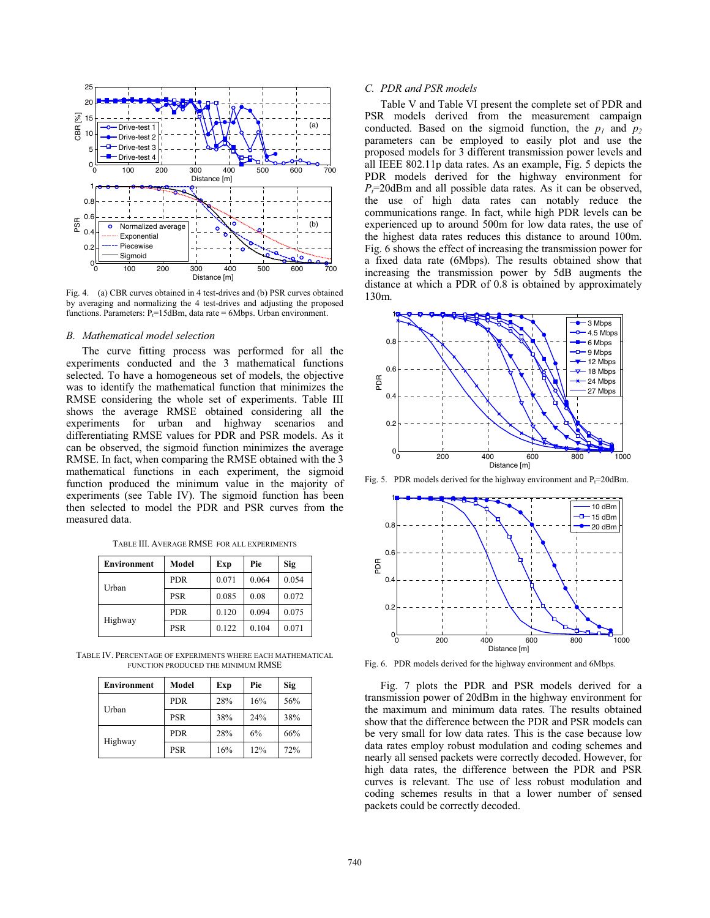

Fig. 4. (a) CBR curves obtained in 4 test-drives and (b) PSR curves obtained by averaging and normalizing the 4 test-drives and adjusting the proposed functions. Parameters:  $P_t = 15$ dBm, data rate = 6Mbps. Urban environment.

#### *B. Mathematical model selection*

The curve fitting process was performed for all the experiments conducted and the 3 mathematical functions selected. To have a homogeneous set of models, the objective was to identify the mathematical function that minimizes the RMSE considering the whole set of experiments. Table III shows the average RMSE obtained considering all the experiments for urban and highway scenarios and differentiating RMSE values for PDR and PSR models. As it can be observed, the sigmoid function minimizes the average RMSE. In fact, when comparing the RMSE obtained with the 3 mathematical functions in each experiment, the sigmoid function produced the minimum value in the majority of experiments (see Table IV). The sigmoid function has been then selected to model the PDR and PSR curves from the measured data.

|  |  |  |  | TABLE III. AVERAGE RMSE FOR ALL EXPERIMENTS |
|--|--|--|--|---------------------------------------------|
|--|--|--|--|---------------------------------------------|

| <b>Environment</b> | Model      | Exp   | Pie   | Sig   |
|--------------------|------------|-------|-------|-------|
| Urban              | <b>PDR</b> | 0.071 | 0.064 | 0.054 |
|                    | <b>PSR</b> | 0.085 | 0.08  | 0.072 |
| Highway            | <b>PDR</b> | 0.120 | 0.094 | 0.075 |
|                    | <b>PSR</b> | 0.122 | 0.104 | 0.071 |

TABLE IV. PERCENTAGE OF EXPERIMENTS WHERE EACH MATHEMATICAL FUNCTION PRODUCED THE MINIMUM RMSE

| <b>Environment</b> | Model      | Exp | Pie | Sig |
|--------------------|------------|-----|-----|-----|
| Urban              | <b>PDR</b> | 28% | 16% | 56% |
|                    | <b>PSR</b> | 38% | 24% | 38% |
| Highway            | <b>PDR</b> | 28% | 6%  | 66% |
|                    | <b>PSR</b> | 16% | 12% | 72% |

# *C. PDR and PSR models*

Table V and Table VI present the complete set of PDR and PSR models derived from the measurement campaign conducted. Based on the sigmoid function, the  $p_1$  and  $p_2$ parameters can be employed to easily plot and use the proposed models for 3 different transmission power levels and all IEEE 802.11p data rates. As an example, Fig. 5 depicts the PDR models derived for the highway environment for  $P_t$ =20dBm and all possible data rates. As it can be observed, the use of high data rates can notably reduce the communications range. In fact, while high PDR levels can be experienced up to around 500m for low data rates, the use of the highest data rates reduces this distance to around 100m. Fig. 6 shows the effect of increasing the transmission power for a fixed data rate (6Mbps). The results obtained show that increasing the transmission power by 5dB augments the distance at which a PDR of 0.8 is obtained by approximately 130m.



Fig. 5. PDR models derived for the highway environment and  $P_t=20$ dBm.



Fig. 6. PDR models derived for the highway environment and 6Mbps.

Fig. 7 plots the PDR and PSR models derived for a transmission power of 20dBm in the highway environment for the maximum and minimum data rates. The results obtained show that the difference between the PDR and PSR models can be very small for low data rates. This is the case because low data rates employ robust modulation and coding schemes and nearly all sensed packets were correctly decoded. However, for high data rates, the difference between the PDR and PSR curves is relevant. The use of less robust modulation and coding schemes results in that a lower number of sensed packets could be correctly decoded.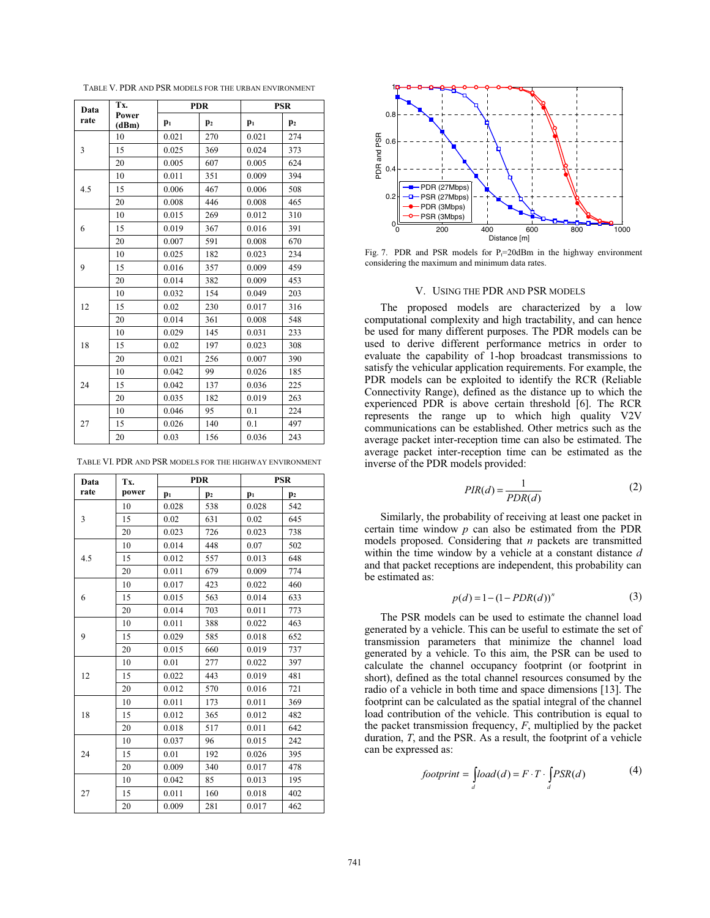TABLE V. PDR AND PSR MODELS FOR THE URBAN ENVIRONMENT

| Data | Tx.            | <b>PDR</b> |                | <b>PSR</b> |                |
|------|----------------|------------|----------------|------------|----------------|
| rate | Power<br>(dBm) | $p_1$      | p <sub>2</sub> | $p_1$      | $\mathbf{p}_2$ |
| 3    | 10             | 0.021      | 270            | 0.021      | 274            |
|      | 15             | 0.025      | 369            | 0.024      | 373            |
|      | 20             | 0.005      | 607            | 0.005      | 624            |
|      | 10             | 0.011      | 351            | 0.009      | 394            |
| 4.5  | 15             | 0.006      | 467            | 0.006      | 508            |
|      | 20             | 0.008      | 446            | 0.008      | 465            |
|      | 10             | 0.015      | 269            | 0.012      | 310            |
| 6    | 15             | 0.019      | 367            | 0.016      | 391            |
|      | 20             | 0.007      | 591            | 0.008      | 670            |
|      | 10             | 0.025      | 182            | 0.023      | 234            |
| 9    | 15             | 0.016      | 357            | 0.009      | 459            |
|      | 20             | 0.014      | 382            | 0.009      | 453            |
|      | 10             | 0.032      | 154            | 0.049      | 203            |
| 12   | 15             | 0.02       | 230            | 0.017      | 316            |
|      | 20             | 0.014      | 361            | 0.008      | 548            |
| 18   | 10             | 0.029      | 145            | 0.031      | 233            |
|      | 15             | 0.02       | 197            | 0.023      | 308            |
|      | 20             | 0.021      | 256            | 0.007      | 390            |
| 24   | 10             | 0.042      | 99             | 0.026      | 185            |
|      | 15             | 0.042      | 137            | 0.036      | 225            |
|      | 20             | 0.035      | 182            | 0.019      | 263            |
| 27   | 10             | 0.046      | 95             | 0.1        | 224            |
|      | 15             | 0.026      | 140            | 0.1        | 497            |
|      | 20             | 0.03       | 156            | 0.036      | 243            |

TABLE VI. PDR AND PSR MODELS FOR THE HIGHWAY ENVIRONMENT

| Data | Tx.   | <b>PDR</b> |                | <b>PSR</b> |                |
|------|-------|------------|----------------|------------|----------------|
| rate | power | $p_1$      | p <sub>2</sub> | $p_1$      | p <sub>2</sub> |
| 3    | 10    | 0.028      | 538            | 0.028      | 542            |
|      | 15    | 0.02       | 631            | 0.02       | 645            |
|      | 20    | 0.023      | 726            | 0.023      | 738            |
|      | 10    | 0.014      | 448            | 0.07       | 502            |
| 4.5  | 15    | 0.012      | 557            | 0.013      | 648            |
|      | 20    | 0.011      | 679            | 0.009      | 774            |
|      | 10    | 0.017      | 423            | 0.022      | 460            |
| 6    | 15    | 0.015      | 563            | 0.014      | 633            |
|      | 20    | 0.014      | 703            | 0.011      | 773            |
|      | 10    | 0.011      | 388            | 0.022      | 463            |
| 9    | 15    | 0.029      | 585            | 0.018      | 652            |
|      | 20    | 0.015      | 660            | 0.019      | 737            |
|      | 10    | 0.01       | 277            | 0.022      | 397            |
| 12   | 15    | 0.022      | 443            | 0.019      | 481            |
|      | 20    | 0.012      | 570            | 0.016      | 721            |
|      | 10    | 0.011      | 173            | 0.011      | 369            |
| 18   | 15    | 0.012      | 365            | 0.012      | 482            |
|      | 20    | 0.018      | 517            | 0.011      | 642            |
| 24   | 10    | 0.037      | 96             | 0.015      | 242            |
|      | 15    | 0.01       | 192            | 0.026      | 395            |
|      | 20    | 0.009      | 340            | 0.017      | 478            |
| 27   | 10    | 0.042      | 85             | 0.013      | 195            |
|      | 15    | 0.011      | 160            | 0.018      | 402            |
|      | 20    | 0.009      | 281            | 0.017      | 462            |



Fig. 7. PDR and PSR models for  $P_t=20$ dBm in the highway environment considering the maximum and minimum data rates.

#### V. USING THE PDR AND PSR MODELS

The proposed models are characterized by a low computational complexity and high tractability, and can hence be used for many different purposes. The PDR models can be used to derive different performance metrics in order to evaluate the capability of 1-hop broadcast transmissions to satisfy the vehicular application requirements. For example, the PDR models can be exploited to identify the RCR (Reliable Connectivity Range), defined as the distance up to which the experienced PDR is above certain threshold [6]. The RCR represents the range up to which high quality V2V communications can be established. Other metrics such as the average packet inter-reception time can also be estimated. The average packet inter-reception time can be estimated as the inverse of the PDR models provided:

$$
PIR(d) = \frac{1}{PDR(d)}\tag{2}
$$

Similarly, the probability of receiving at least one packet in certain time window *p* can also be estimated from the PDR models proposed. Considering that *n* packets are transmitted within the time window by a vehicle at a constant distance *d* and that packet receptions are independent, this probability can be estimated as:

$$
p(d) = 1 - (1 - PDR(d))^n
$$
 (3)

The PSR models can be used to estimate the channel load generated by a vehicle. This can be useful to estimate the set of transmission parameters that minimize the channel load generated by a vehicle. To this aim, the PSR can be used to calculate the channel occupancy footprint (or footprint in short), defined as the total channel resources consumed by the radio of a vehicle in both time and space dimensions [13]. The footprint can be calculated as the spatial integral of the channel load contribution of the vehicle. This contribution is equal to the packet transmission frequency, *F*, multiplied by the packet duration, *T*, and the PSR. As a result, the footprint of a vehicle can be expressed as:

$$
footprint = \int_{d} load(d) = F \cdot T \cdot \int_{d} PSR(d) \tag{4}
$$